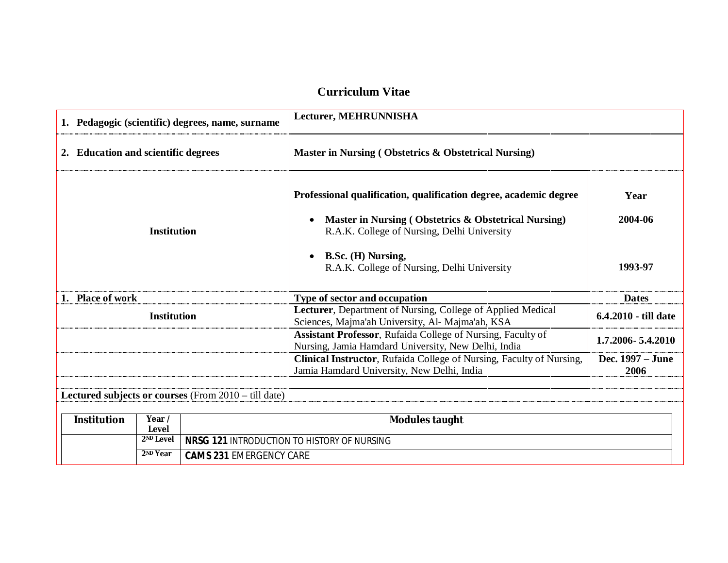## **Curriculum Vitae**

|                                     |                       | 1. Pedagogic (scientific) degrees, name, surname     | Lecturer, MEHRUNNISHA                                                                                                     |                          |
|-------------------------------------|-----------------------|------------------------------------------------------|---------------------------------------------------------------------------------------------------------------------------|--------------------------|
| 2. Education and scientific degrees |                       |                                                      | Master in Nursing (Obstetrics & Obstetrical Nursing)                                                                      |                          |
|                                     |                       |                                                      | Professional qualification, qualification degree, academic degree                                                         | Year                     |
|                                     | <b>Institution</b>    |                                                      | Master in Nursing (Obstetrics & Obstetrical Nursing)<br>$\bullet$<br>R.A.K. College of Nursing, Delhi University          | 2004-06                  |
|                                     |                       |                                                      | B.Sc. (H) Nursing,<br>$\bullet$<br>R.A.K. College of Nursing, Delhi University                                            | 1993-97                  |
| 1. Place of work                    |                       |                                                      | Type of sector and occupation                                                                                             | <b>Dates</b>             |
| <b>Institution</b>                  |                       |                                                      | Lecturer, Department of Nursing, College of Applied Medical<br>Sciences, Majma'ah University, Al- Majma'ah, KSA           | 6.4.2010 - till date     |
|                                     |                       |                                                      | <b>Assistant Professor, Rufaida College of Nursing, Faculty of</b><br>Nursing, Jamia Hamdard University, New Delhi, India | 1.7.2006 - 5.4.2010      |
|                                     |                       |                                                      | Clinical Instructor, Rufaida College of Nursing, Faculty of Nursing,<br>Jamia Hamdard University, New Delhi, India        | Dec. 1997 – June<br>2006 |
|                                     |                       | Lectured subjects or courses (From 2010 – till date) |                                                                                                                           |                          |
| <b>Institution</b>                  | Year /<br>Level       |                                                      | <b>Modules taught</b>                                                                                                     |                          |
|                                     | 2 <sup>ND</sup> Level |                                                      | <b>NRSG 121 INTRODUCTION TO HISTORY OF NURSING</b>                                                                        |                          |

**<sup>2</sup>ND Year CAMS 231** EMERGENCY CARE